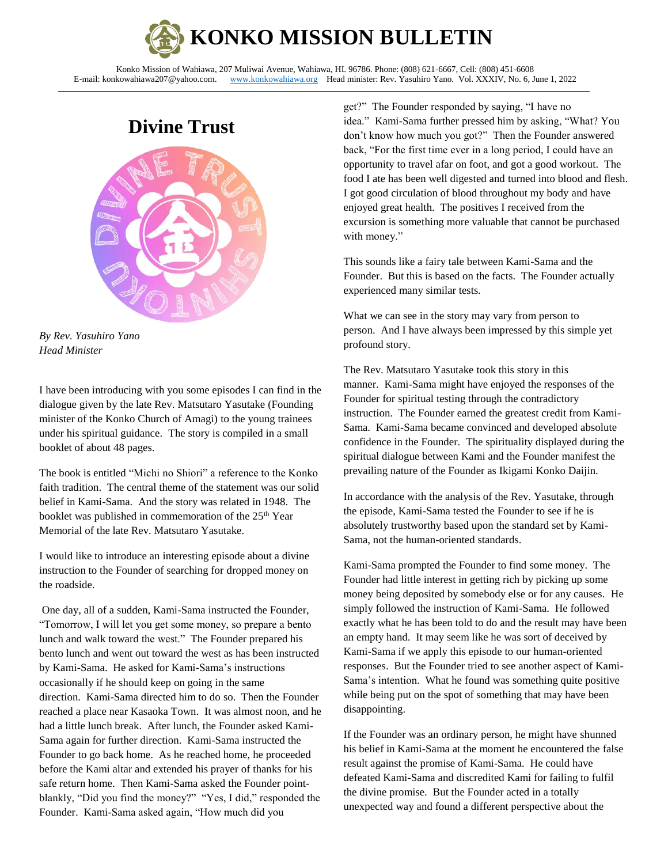

Konko Mission of Wahiawa, 207 Muliwai Avenue, Wahiawa, HI. 96786. Phone: (808) 621-6667, Cell: (808) 451-6608<br>E-mail: konkowahiawa207@yahoo.com. www.konkowahiawa.org Head minister: Rev. Yasuhiro Yano. Vol. XXXIV, No. 6, J [www.konkowahiawa.org](http://www.konkowahiawa.org/) Head minister: Rev. Yasuhiro Yano. Vol. XXXIV, No. 6, June 1, 2022

# **Divine Trust**





I have been introducing with you some episodes I can find in the dialogue given by the late Rev. Matsutaro Yasutake (Founding minister of the Konko Church of Amagi) to the young trainees under his spiritual guidance. The story is compiled in a small booklet of about 48 pages.

The book is entitled "Michi no Shiori" a reference to the Konko faith tradition. The central theme of the statement was our solid belief in Kami-Sama. And the story was related in 1948. The booklet was published in commemoration of the 25<sup>th</sup> Year Memorial of the late Rev. Matsutaro Yasutake.

I would like to introduce an interesting episode about a divine instruction to the Founder of searching for dropped money on the roadside.

One day, all of a sudden, Kami-Sama instructed the Founder, "Tomorrow, I will let you get some money, so prepare a bento lunch and walk toward the west." The Founder prepared his bento lunch and went out toward the west as has been instructed by Kami-Sama. He asked for Kami-Sama's instructions occasionally if he should keep on going in the same direction. Kami-Sama directed him to do so. Then the Founder reached a place near Kasaoka Town. It was almost noon, and he had a little lunch break. After lunch, the Founder asked Kami-Sama again for further direction. Kami-Sama instructed the Founder to go back home. As he reached home, he proceeded before the Kami altar and extended his prayer of thanks for his safe return home. Then Kami-Sama asked the Founder pointblankly, "Did you find the money?" "Yes, I did," responded the Founder. Kami-Sama asked again, "How much did you

get?" The Founder responded by saying, "I have no idea." Kami-Sama further pressed him by asking, "What? You don't know how much you got?" Then the Founder answered back, "For the first time ever in a long period, I could have an opportunity to travel afar on foot, and got a good workout. The food I ate has been well digested and turned into blood and flesh. I got good circulation of blood throughout my body and have enjoyed great health. The positives I received from the excursion is something more valuable that cannot be purchased with money."

This sounds like a fairy tale between Kami-Sama and the Founder. But this is based on the facts. The Founder actually experienced many similar tests.

What we can see in the story may vary from person to person. And I have always been impressed by this simple yet profound story.

The Rev. Matsutaro Yasutake took this story in this manner. Kami-Sama might have enjoyed the responses of the Founder for spiritual testing through the contradictory instruction. The Founder earned the greatest credit from Kami-Sama. Kami-Sama became convinced and developed absolute confidence in the Founder. The spirituality displayed during the spiritual dialogue between Kami and the Founder manifest the prevailing nature of the Founder as Ikigami Konko Daijin.

In accordance with the analysis of the Rev. Yasutake, through the episode, Kami-Sama tested the Founder to see if he is absolutely trustworthy based upon the standard set by Kami-Sama, not the human-oriented standards.

Kami-Sama prompted the Founder to find some money. The Founder had little interest in getting rich by picking up some money being deposited by somebody else or for any causes. He simply followed the instruction of Kami-Sama. He followed exactly what he has been told to do and the result may have been an empty hand. It may seem like he was sort of deceived by Kami-Sama if we apply this episode to our human-oriented responses. But the Founder tried to see another aspect of Kami-Sama's intention. What he found was something quite positive while being put on the spot of something that may have been disappointing.

If the Founder was an ordinary person, he might have shunned his belief in Kami-Sama at the moment he encountered the false result against the promise of Kami-Sama. He could have defeated Kami-Sama and discredited Kami for failing to fulfil the divine promise. But the Founder acted in a totally unexpected way and found a different perspective about the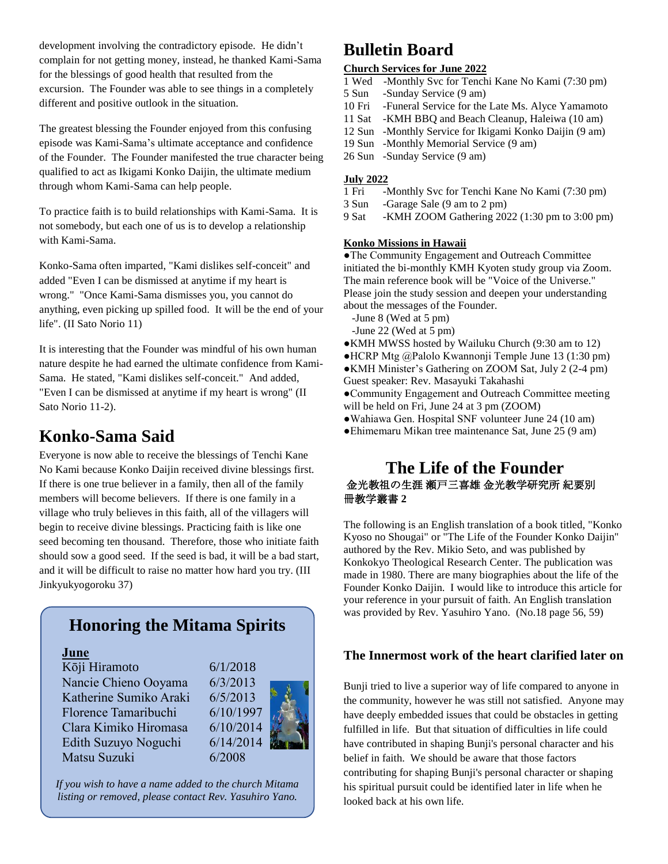development involving the contradictory episode. He didn't complain for not getting money, instead, he thanked Kami-Sama for the blessings of good health that resulted from the excursion. The Founder was able to see things in a completely different and positive outlook in the situation.

The greatest blessing the Founder enjoyed from this confusing episode was Kami-Sama's ultimate acceptance and confidence of the Founder. The Founder manifested the true character being qualified to act as Ikigami Konko Daijin, the ultimate medium through whom Kami-Sama can help people.

To practice faith is to build relationships with Kami-Sama. It is not somebody, but each one of us is to develop a relationship with Kami-Sama.

Konko-Sama often imparted, "Kami dislikes self-conceit" and added "Even I can be dismissed at anytime if my heart is wrong." "Once Kami-Sama dismisses you, you cannot do anything, even picking up spilled food. It will be the end of your life". (II Sato Norio 11)

It is interesting that the Founder was mindful of his own human nature despite he had earned the ultimate confidence from Kami-Sama. He stated, "Kami dislikes self-conceit." And added, "Even I can be dismissed at anytime if my heart is wrong" (II Sato Norio 11-2).

# **Konko-Sama Said**

Everyone is now able to receive the blessings of Tenchi Kane No Kami because Konko Daijin received divine blessings first. If there is one true believer in a family, then all of the family members will become believers. If there is one family in a village who truly believes in this faith, all of the villagers will begin to receive divine blessings. Practicing faith is like one seed becoming ten thousand. Therefore, those who initiate faith should sow a good seed. If the seed is bad, it will be a bad start, and it will be difficult to raise no matter how hard you try. (III Jinkyukyogoroku 37)

## **Honoring the Mitama Spirits**

### **June**

Kōji Hiramoto 6/1/2018 Nancie Chieno Ooyama 6/3/2013 Katherine Sumiko Araki 6/5/2013 Florence Tamaribuchi 6/10/1997 Clara Kimiko Hiromasa 6/10/2014 Edith Suzuyo Noguchi 6/14/2014 Matsu Suzuki 6/2008



*If you wish to have a name added to the church Mitama listing or removed, please contact Rev. Yasuhiro Yano.*

# **Bulletin Board**

### **Church Services for June 2022**

- 1 Wed -Monthly Svc for Tenchi Kane No Kami (7:30 pm)
- 5 Sun -Sunday Service (9 am)
- 10 Fri -Funeral Service for the Late Ms. Alyce Yamamoto
- 11 Sat -KMH BBQ and Beach Cleanup, Haleiwa (10 am)
- 12 Sun -Monthly Service for Ikigami Konko Daijin (9 am)
- 19 Sun -Monthly Memorial Service (9 am)
- 26 Sun -Sunday Service (9 am)

# **July 2022**

- -Monthly Svc for Tenchi Kane No Kami (7:30 pm)
- 3 Sun -Garage Sale (9 am to 2 pm)
- 9 Sat -KMH ZOOM Gathering 2022 (1:30 pm to 3:00 pm)

#### **Konko Missions in Hawaii**

●The Community Engagement and Outreach Committee initiated the bi-monthly KMH Kyoten study group via Zoom. The main reference book will be "Voice of the Universe." Please join the study session and deepen your understanding about the messages of the Founder.

- -June 8 (Wed at 5 pm)
- -June 22 (Wed at 5 pm)
- ●KMH MWSS hosted by Wailuku Church (9:30 am to 12)
- ●HCRP Mtg @Palolo Kwannonji Temple June 13 (1:30 pm) ●KMH Minister's Gathering on ZOOM Sat, July 2 (2-4 pm)
- Guest speaker: Rev. Masayuki Takahashi
- ●Community Engagement and Outreach Committee meeting will be held on Fri, June 24 at 3 pm (ZOOM)
- ●Wahiawa Gen. Hospital SNF volunteer June 24 (10 am)
- ●Ehimemaru Mikan tree maintenance Sat, June 25 (9 am)

## **The Life of the Founder** 金光教祖の生涯 瀬戸三喜雄 金光教学研究所 紀要別 冊教学叢書 **2**

The following is an English translation of a book titled, "Konko Kyoso no Shougai" or "The Life of the Founder Konko Daijin" authored by the Rev. Mikio Seto, and was published by Konkokyo Theological Research Center. The publication was made in 1980. There are many biographies about the life of the Founder Konko Daijin. I would like to introduce this article for your reference in your pursuit of faith. An English translation was provided by Rev. Yasuhiro Yano. (No.18 page 56, 59)

### **The Innermost work of the heart clarified later on**

Bunji tried to live a superior way of life compared to anyone in the community, however he was still not satisfied. Anyone may have deeply embedded issues that could be obstacles in getting fulfilled in life. But that situation of difficulties in life could have contributed in shaping Bunji's personal character and his belief in faith. We should be aware that those factors contributing for shaping Bunji's personal character or shaping his spiritual pursuit could be identified later in life when he looked back at his own life.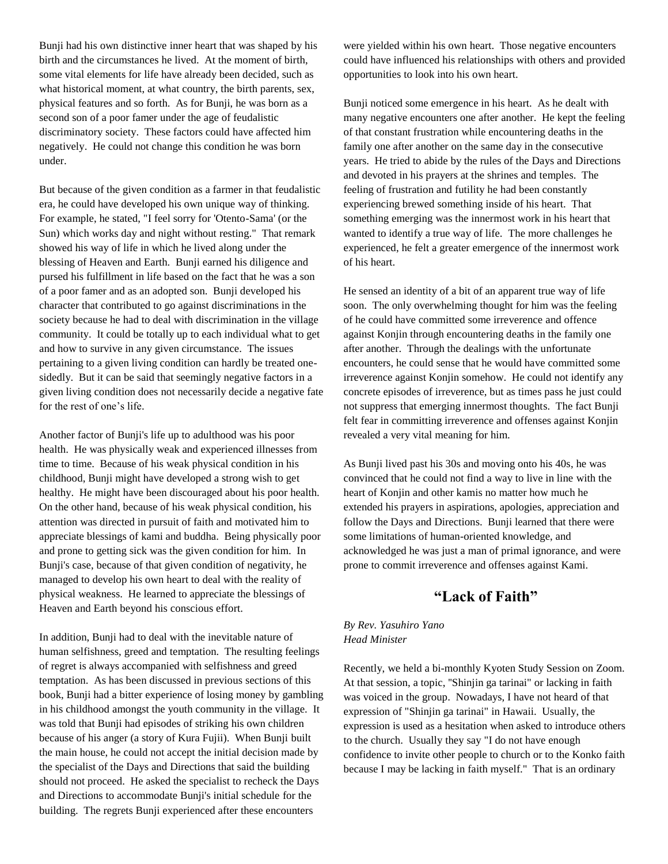Bunji had his own distinctive inner heart that was shaped by his birth and the circumstances he lived. At the moment of birth, some vital elements for life have already been decided, such as what historical moment, at what country, the birth parents, sex, physical features and so forth. As for Bunji, he was born as a second son of a poor famer under the age of feudalistic discriminatory society. These factors could have affected him negatively. He could not change this condition he was born under.

But because of the given condition as a farmer in that feudalistic era, he could have developed his own unique way of thinking. For example, he stated, "I feel sorry for 'Otento-Sama' (or the Sun) which works day and night without resting." That remark showed his way of life in which he lived along under the blessing of Heaven and Earth. Bunji earned his diligence and pursed his fulfillment in life based on the fact that he was a son of a poor famer and as an adopted son. Bunji developed his character that contributed to go against discriminations in the society because he had to deal with discrimination in the village community. It could be totally up to each individual what to get and how to survive in any given circumstance. The issues pertaining to a given living condition can hardly be treated onesidedly. But it can be said that seemingly negative factors in a given living condition does not necessarily decide a negative fate for the rest of one's life.

Another factor of Bunji's life up to adulthood was his poor health. He was physically weak and experienced illnesses from time to time. Because of his weak physical condition in his childhood, Bunji might have developed a strong wish to get healthy. He might have been discouraged about his poor health. On the other hand, because of his weak physical condition, his attention was directed in pursuit of faith and motivated him to appreciate blessings of kami and buddha. Being physically poor and prone to getting sick was the given condition for him. In Bunji's case, because of that given condition of negativity, he managed to develop his own heart to deal with the reality of physical weakness. He learned to appreciate the blessings of Heaven and Earth beyond his conscious effort.

In addition, Bunji had to deal with the inevitable nature of human selfishness, greed and temptation. The resulting feelings of regret is always accompanied with selfishness and greed temptation. As has been discussed in previous sections of this book, Bunji had a bitter experience of losing money by gambling in his childhood amongst the youth community in the village. It was told that Bunji had episodes of striking his own children because of his anger (a story of Kura Fujii). When Bunji built the main house, he could not accept the initial decision made by the specialist of the Days and Directions that said the building should not proceed. He asked the specialist to recheck the Days and Directions to accommodate Bunji's initial schedule for the building. The regrets Bunji experienced after these encounters

were yielded within his own heart. Those negative encounters could have influenced his relationships with others and provided opportunities to look into his own heart.

Bunji noticed some emergence in his heart. As he dealt with many negative encounters one after another. He kept the feeling of that constant frustration while encountering deaths in the family one after another on the same day in the consecutive years. He tried to abide by the rules of the Days and Directions and devoted in his prayers at the shrines and temples. The feeling of frustration and futility he had been constantly experiencing brewed something inside of his heart. That something emerging was the innermost work in his heart that wanted to identify a true way of life. The more challenges he experienced, he felt a greater emergence of the innermost work of his heart.

He sensed an identity of a bit of an apparent true way of life soon. The only overwhelming thought for him was the feeling of he could have committed some irreverence and offence against Konjin through encountering deaths in the family one after another. Through the dealings with the unfortunate encounters, he could sense that he would have committed some irreverence against Konjin somehow. He could not identify any concrete episodes of irreverence, but as times pass he just could not suppress that emerging innermost thoughts. The fact Bunji felt fear in committing irreverence and offenses against Konjin revealed a very vital meaning for him.

As Bunji lived past his 30s and moving onto his 40s, he was convinced that he could not find a way to live in line with the heart of Konjin and other kamis no matter how much he extended his prayers in aspirations, apologies, appreciation and follow the Days and Directions. Bunji learned that there were some limitations of human-oriented knowledge, and acknowledged he was just a man of primal ignorance, and were prone to commit irreverence and offenses against Kami.

## **"Lack of Faith"**

*By Rev. Yasuhiro Yano Head Minister*

Recently, we held a bi-monthly Kyoten Study Session on Zoom. At that session, a topic, ''Shinjin ga tarinai" or lacking in faith was voiced in the group. Nowadays, I have not heard of that expression of "Shinjin ga tarinai" in Hawaii. Usually, the expression is used as a hesitation when asked to introduce others to the church. Usually they say "I do not have enough confidence to invite other people to church or to the Konko faith because I may be lacking in faith myself." That is an ordinary